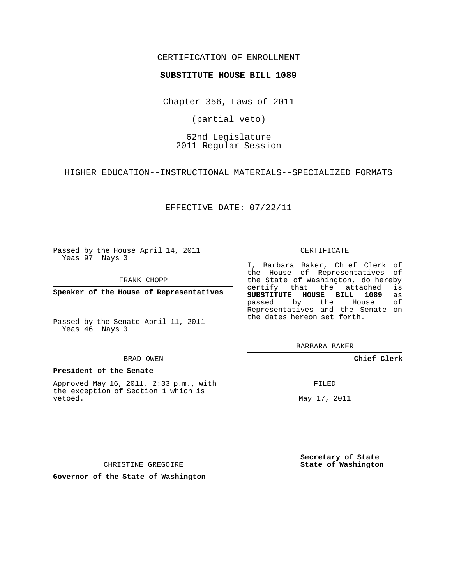## CERTIFICATION OF ENROLLMENT

### **SUBSTITUTE HOUSE BILL 1089**

Chapter 356, Laws of 2011

(partial veto)

# 62nd Legislature 2011 Regular Session

HIGHER EDUCATION--INSTRUCTIONAL MATERIALS--SPECIALIZED FORMATS

EFFECTIVE DATE: 07/22/11

Passed by the House April 14, 2011 Yeas 97 Nays 0

FRANK CHOPP

**Speaker of the House of Representatives**

Passed by the Senate April 11, 2011 Yeas 46 Nays 0

#### BRAD OWEN

### **President of the Senate**

Approved May 16, 2011, 2:33 p.m., with the exception of Section 1 which is vetoed.

CERTIFICATE

I, Barbara Baker, Chief Clerk of the House of Representatives of the State of Washington, do hereby<br>certify that the attached is certify that the attached **SUBSTITUTE HOUSE BILL 1089** as passed by the House of Representatives and the Senate on the dates hereon set forth.

BARBARA BAKER

**Chief Clerk**

FILED

May 17, 2011

**Secretary of State State of Washington**

CHRISTINE GREGOIRE

**Governor of the State of Washington**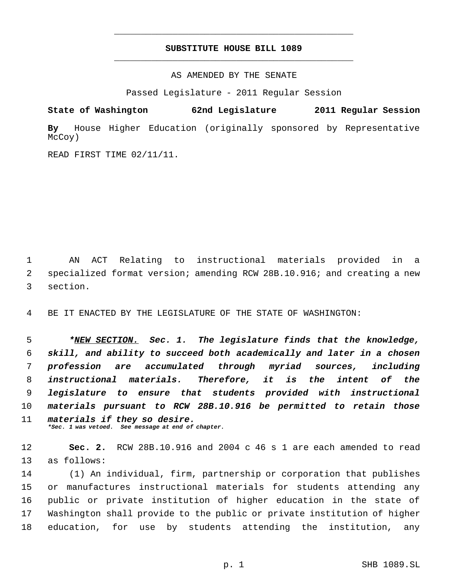# **SUBSTITUTE HOUSE BILL 1089** \_\_\_\_\_\_\_\_\_\_\_\_\_\_\_\_\_\_\_\_\_\_\_\_\_\_\_\_\_\_\_\_\_\_\_\_\_\_\_\_\_\_\_\_\_

\_\_\_\_\_\_\_\_\_\_\_\_\_\_\_\_\_\_\_\_\_\_\_\_\_\_\_\_\_\_\_\_\_\_\_\_\_\_\_\_\_\_\_\_\_

AS AMENDED BY THE SENATE

Passed Legislature - 2011 Regular Session

**State of Washington 62nd Legislature 2011 Regular Session**

**By** House Higher Education (originally sponsored by Representative McCoy)

READ FIRST TIME 02/11/11.

 AN ACT Relating to instructional materials provided in a specialized format version; amending RCW 28B.10.916; and creating a new section.

BE IT ENACTED BY THE LEGISLATURE OF THE STATE OF WASHINGTON:

 *\*NEW SECTION. Sec. 1. The legislature finds that the knowledge, skill, and ability to succeed both academically and later in a chosen profession are accumulated through myriad sources, including instructional materials. Therefore, it is the intent of the legislature to ensure that students provided with instructional materials pursuant to RCW 28B.10.916 be permitted to retain those materials if they so desire. \*Sec. 1 was vetoed. See message at end of chapter.*

 **Sec. 2.** RCW 28B.10.916 and 2004 c 46 s 1 are each amended to read as follows:

 (1) An individual, firm, partnership or corporation that publishes or manufactures instructional materials for students attending any public or private institution of higher education in the state of Washington shall provide to the public or private institution of higher education, for use by students attending the institution, any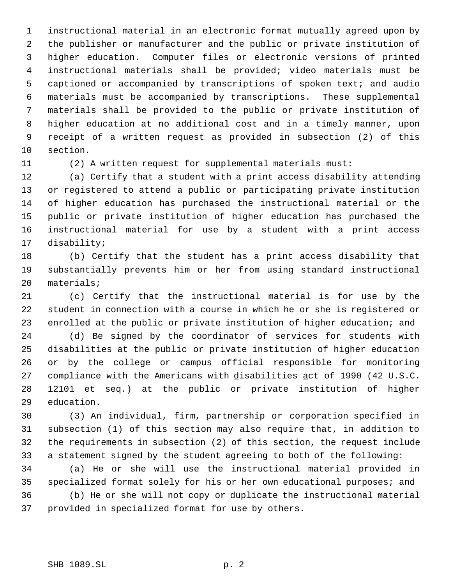instructional material in an electronic format mutually agreed upon by the publisher or manufacturer and the public or private institution of higher education. Computer files or electronic versions of printed instructional materials shall be provided; video materials must be captioned or accompanied by transcriptions of spoken text; and audio materials must be accompanied by transcriptions. These supplemental materials shall be provided to the public or private institution of higher education at no additional cost and in a timely manner, upon receipt of a written request as provided in subsection (2) of this section.

(2) A written request for supplemental materials must:

 (a) Certify that a student with a print access disability attending or registered to attend a public or participating private institution of higher education has purchased the instructional material or the public or private institution of higher education has purchased the instructional material for use by a student with a print access disability;

 (b) Certify that the student has a print access disability that substantially prevents him or her from using standard instructional materials;

 (c) Certify that the instructional material is for use by the student in connection with a course in which he or she is registered or enrolled at the public or private institution of higher education; and

 (d) Be signed by the coordinator of services for students with disabilities at the public or private institution of higher education or by the college or campus official responsible for monitoring 27 compliance with the Americans with disabilities act of 1990 (42 U.S.C. 12101 et seq.) at the public or private institution of higher education.

 (3) An individual, firm, partnership or corporation specified in subsection (1) of this section may also require that, in addition to the requirements in subsection (2) of this section, the request include a statement signed by the student agreeing to both of the following:

 (a) He or she will use the instructional material provided in specialized format solely for his or her own educational purposes; and (b) He or she will not copy or duplicate the instructional material provided in specialized format for use by others.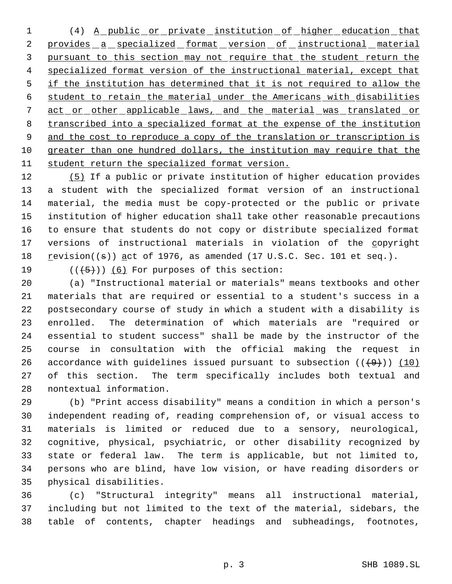(4) A public or private institution of higher education that 2 provides a specialized format version of instructional material pursuant to this section may not require that the student return the 4 specialized format version of the instructional material, except that 5 if the institution has determined that it is not required to allow the student to retain the material under the Americans with disabilities 7 act or other applicable laws, and the material was translated or transcribed into a specialized format at the expense of the institution 9 and the cost to reproduce a copy of the translation or transcription is greater than one hundred dollars, the institution may require that the student return the specialized format version.

 (5) If a public or private institution of higher education provides a student with the specialized format version of an instructional material, the media must be copy-protected or the public or private institution of higher education shall take other reasonable precautions to ensure that students do not copy or distribute specialized format 17 versions of instructional materials in violation of the copyright 18 revision( $(\theta)$ ) act of 1976, as amended (17 U.S.C. Sec. 101 et seq.).

19  $((+5+))$   $(6)$  For purposes of this section:

 (a) "Instructional material or materials" means textbooks and other materials that are required or essential to a student's success in a postsecondary course of study in which a student with a disability is enrolled. The determination of which materials are "required or essential to student success" shall be made by the instructor of the course in consultation with the official making the request in 26 accordance with guidelines issued pursuant to subsection  $((+9))$  (10) of this section. The term specifically includes both textual and nontextual information.

 (b) "Print access disability" means a condition in which a person's independent reading of, reading comprehension of, or visual access to materials is limited or reduced due to a sensory, neurological, cognitive, physical, psychiatric, or other disability recognized by state or federal law. The term is applicable, but not limited to, persons who are blind, have low vision, or have reading disorders or physical disabilities.

 (c) "Structural integrity" means all instructional material, including but not limited to the text of the material, sidebars, the table of contents, chapter headings and subheadings, footnotes,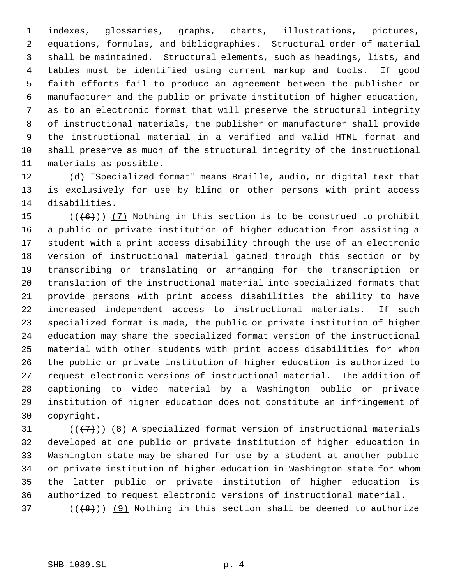indexes, glossaries, graphs, charts, illustrations, pictures, equations, formulas, and bibliographies. Structural order of material shall be maintained. Structural elements, such as headings, lists, and tables must be identified using current markup and tools. If good faith efforts fail to produce an agreement between the publisher or manufacturer and the public or private institution of higher education, as to an electronic format that will preserve the structural integrity of instructional materials, the publisher or manufacturer shall provide the instructional material in a verified and valid HTML format and shall preserve as much of the structural integrity of the instructional materials as possible.

 (d) "Specialized format" means Braille, audio, or digital text that is exclusively for use by blind or other persons with print access disabilities.

 $((+6))$   $(7)$  Nothing in this section is to be construed to prohibit a public or private institution of higher education from assisting a student with a print access disability through the use of an electronic version of instructional material gained through this section or by transcribing or translating or arranging for the transcription or translation of the instructional material into specialized formats that provide persons with print access disabilities the ability to have increased independent access to instructional materials. If such specialized format is made, the public or private institution of higher education may share the specialized format version of the instructional material with other students with print access disabilities for whom the public or private institution of higher education is authorized to request electronic versions of instructional material. The addition of captioning to video material by a Washington public or private institution of higher education does not constitute an infringement of copyright.

 $((+7)$ ) (8) A specialized format version of instructional materials developed at one public or private institution of higher education in Washington state may be shared for use by a student at another public or private institution of higher education in Washington state for whom the latter public or private institution of higher education is authorized to request electronic versions of instructional material.

(( $(8)$ )) (9) Nothing in this section shall be deemed to authorize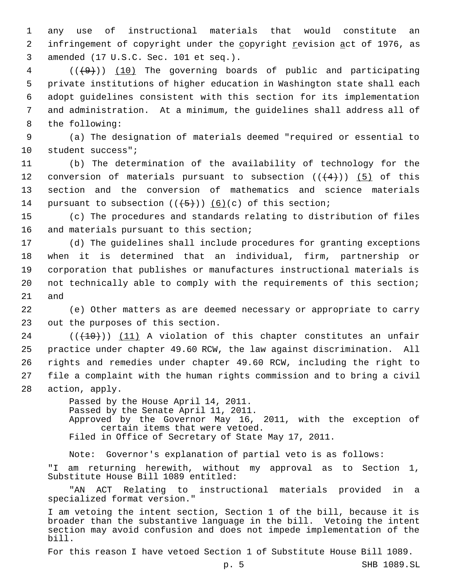1 any use of instructional materials that would constitute an 2 infringement of copyright under the copyright revision act of 1976, as 3 amended (17 U.S.C. Sec. 101 et seq.).

 ( $(\frac{49}{10})$  The governing boards of public and participating private institutions of higher education in Washington state shall each adopt guidelines consistent with this section for its implementation and administration. At a minimum, the guidelines shall address all of the following:

 9 (a) The designation of materials deemed "required or essential to 10 student success";

11 (b) The determination of the availability of technology for the 12 conversion of materials pursuant to subsection  $((+4))$  (5) of this 13 section and the conversion of mathematics and science materials 14 pursuant to subsection  $((+5))$  (6)(c) of this section;

15 (c) The procedures and standards relating to distribution of files 16 and materials pursuant to this section;

 (d) The guidelines shall include procedures for granting exceptions when it is determined that an individual, firm, partnership or corporation that publishes or manufactures instructional materials is not technically able to comply with the requirements of this section; 21 and

22 (e) Other matters as are deemed necessary or appropriate to carry 23 out the purposes of this section.

 (( $(10)$ )) (11) A violation of this chapter constitutes an unfair practice under chapter 49.60 RCW, the law against discrimination. All rights and remedies under chapter 49.60 RCW, including the right to file a complaint with the human rights commission and to bring a civil action, apply.

> Passed by the House April 14, 2011. Passed by the Senate April 11, 2011. Approved by the Governor May 16, 2011, with the exception of certain items that were vetoed. Filed in Office of Secretary of State May 17, 2011.

Note: Governor's explanation of partial veto is as follows:

"I am returning herewith, without my approval as to Section 1, Substitute House Bill 1089 entitled:

"AN ACT Relating to instructional materials provided in a specialized format version."

I am vetoing the intent section, Section 1 of the bill, because it is broader than the substantive language in the bill. Vetoing the intent section may avoid confusion and does not impede implementation of the bill.

For this reason I have vetoed Section 1 of Substitute House Bill 1089.

p. 5 SHB 1089.SL